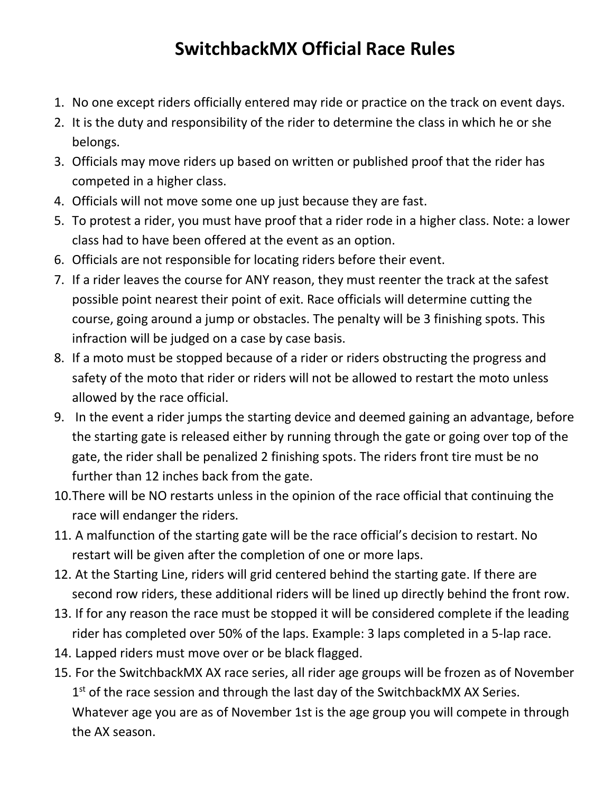## **SwitchbackMX Official Race Rules**

- 1. No one except riders officially entered may ride or practice on the track on event days.
- 2. It is the duty and responsibility of the rider to determine the class in which he or she belongs.
- 3. Officials may move riders up based on written or published proof that the rider has competed in a higher class.
- 4. Officials will not move some one up just because they are fast.
- 5. To protest a rider, you must have proof that a rider rode in a higher class. Note: a lower class had to have been offered at the event as an option.
- 6. Officials are not responsible for locating riders before their event.
- 7. If a rider leaves the course for ANY reason, they must reenter the track at the safest possible point nearest their point of exit. Race officials will determine cutting the course, going around a jump or obstacles. The penalty will be 3 finishing spots. This infraction will be judged on a case by case basis.
- 8. If a moto must be stopped because of a rider or riders obstructing the progress and safety of the moto that rider or riders will not be allowed to restart the moto unless allowed by the race official.
- 9. In the event a rider jumps the starting device and deemed gaining an advantage, before the starting gate is released either by running through the gate or going over top of the gate, the rider shall be penalized 2 finishing spots. The riders front tire must be no further than 12 inches back from the gate.
- 10.There will be NO restarts unless in the opinion of the race official that continuing the race will endanger the riders.
- 11. A malfunction of the starting gate will be the race official's decision to restart. No restart will be given after the completion of one or more laps.
- 12. At the Starting Line, riders will grid centered behind the starting gate. If there are second row riders, these additional riders will be lined up directly behind the front row.
- 13. If for any reason the race must be stopped it will be considered complete if the leading rider has completed over 50% of the laps. Example: 3 laps completed in a 5-lap race.
- 14. Lapped riders must move over or be black flagged.
- 15. For the SwitchbackMX AX race series, all rider age groups will be frozen as of November 1<sup>st</sup> of the race session and through the last day of the SwitchbackMX AX Series. Whatever age you are as of November 1st is the age group you will compete in through the AX season.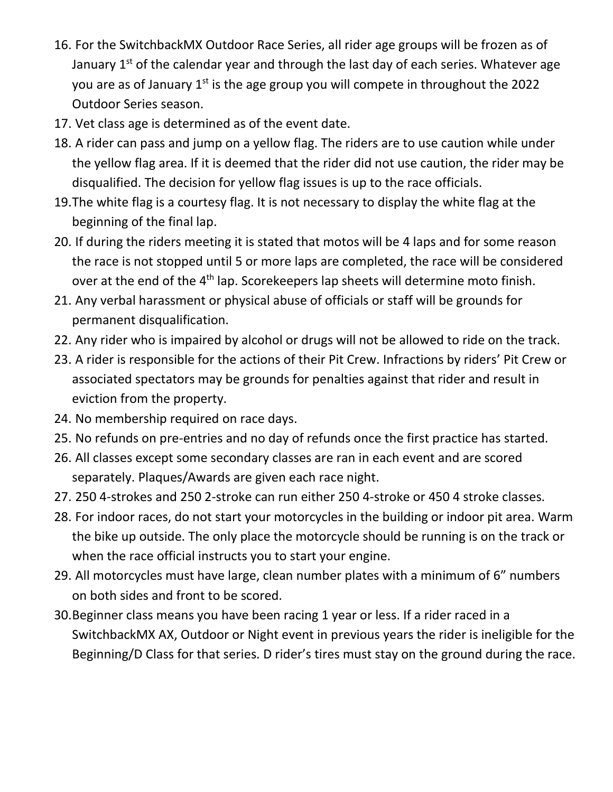- 16. For the SwitchbackMX Outdoor Race Series, all rider age groups will be frozen as of January 1<sup>st</sup> of the calendar year and through the last day of each series. Whatever age you are as of January 1<sup>st</sup> is the age group you will compete in throughout the 2022 Outdoor Series season.
- 17. Vet class age is determined as of the event date.
- 18. A rider can pass and jump on a yellow flag. The riders are to use caution while under the yellow flag area. If it is deemed that the rider did not use caution, the rider may be disqualified. The decision for yellow flag issues is up to the race officials.
- 19.The white flag is a courtesy flag. It is not necessary to display the white flag at the beginning of the final lap.
- 20. If during the riders meeting it is stated that motos will be 4 laps and for some reason the race is not stopped until 5 or more laps are completed, the race will be considered over at the end of the 4<sup>th</sup> lap. Scorekeepers lap sheets will determine moto finish.
- 21. Any verbal harassment or physical abuse of officials or staff will be grounds for permanent disqualification.
- 22. Any rider who is impaired by alcohol or drugs will not be allowed to ride on the track.
- 23. A rider is responsible for the actions of their Pit Crew. Infractions by riders' Pit Crew or associated spectators may be grounds for penalties against that rider and result in eviction from the property.
- 24. No membership required on race days.
- 25. No refunds on pre-entries and no day of refunds once the first practice has started.
- 26. All classes except some secondary classes are ran in each event and are scored separately. Plaques/Awards are given each race night.
- 27. 250 4-strokes and 250 2-stroke can run either 250 4-stroke or 450 4 stroke classes.
- 28. For indoor races, do not start your motorcycles in the building or indoor pit area. Warm the bike up outside. The only place the motorcycle should be running is on the track or when the race official instructs you to start your engine.
- 29. All motorcycles must have large, clean number plates with a minimum of 6" numbers on both sides and front to be scored.
- 30.Beginner class means you have been racing 1 year or less. If a rider raced in a SwitchbackMX AX, Outdoor or Night event in previous years the rider is ineligible for the Beginning/D Class for that series. D rider's tires must stay on the ground during the race.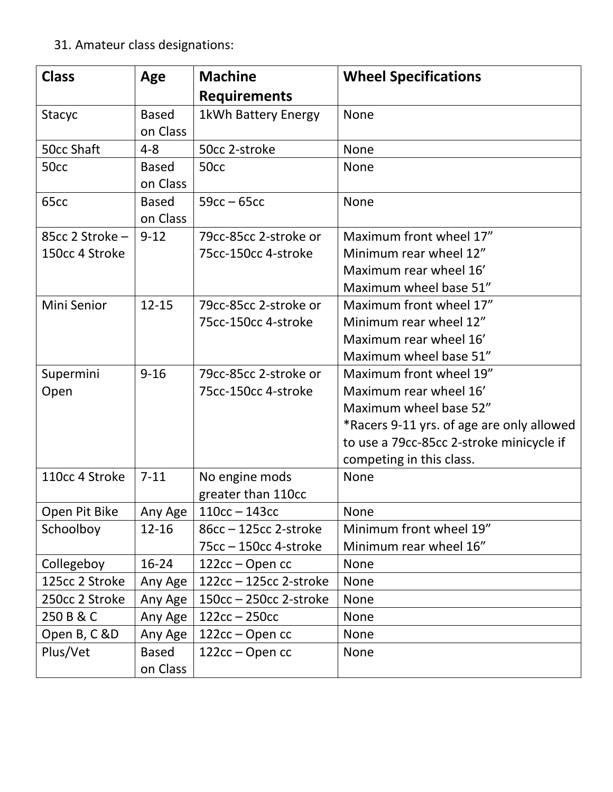31. Amateur class designations:

| <b>Class</b>      | Age          | <b>Machine</b>           | <b>Wheel Specifications</b>               |
|-------------------|--------------|--------------------------|-------------------------------------------|
|                   |              | <b>Requirements</b>      |                                           |
| Stacyc            | <b>Based</b> | 1kWh Battery Energy      | <b>None</b>                               |
|                   | on Class     |                          |                                           |
| <b>50cc Shaft</b> | $4 - 8$      | 50cc 2-stroke            | <b>None</b>                               |
| 50cc              | <b>Based</b> | 50 <sub>cc</sub>         | None                                      |
|                   | on Class     |                          |                                           |
| 65cc              | <b>Based</b> | $59cc - 65cc$            | None                                      |
|                   | on Class     |                          |                                           |
| 85cc 2 Stroke -   | $9 - 12$     | 79cc-85cc 2-stroke or    | Maximum front wheel 17"                   |
| 150cc 4 Stroke    |              | 75cc-150cc 4-stroke      | Minimum rear wheel 12"                    |
|                   |              |                          | Maximum rear wheel 16'                    |
|                   |              |                          | Maximum wheel base 51"                    |
| Mini Senior       | $12 - 15$    | 79cc-85cc 2-stroke or    | Maximum front wheel 17"                   |
|                   |              | 75cc-150cc 4-stroke      | Minimum rear wheel 12"                    |
|                   |              |                          | Maximum rear wheel 16'                    |
|                   |              |                          | Maximum wheel base 51"                    |
| Supermini         | $9 - 16$     | 79cc-85cc 2-stroke or    | Maximum front wheel 19"                   |
| Open              |              | 75cc-150cc 4-stroke      | Maximum rear wheel 16'                    |
|                   |              |                          | Maximum wheel base 52"                    |
|                   |              |                          | *Racers 9-11 yrs. of age are only allowed |
|                   |              |                          | to use a 79cc-85cc 2-stroke minicycle if  |
|                   |              |                          | competing in this class.                  |
| 110cc 4 Stroke    | $7 - 11$     | No engine mods           | None                                      |
|                   |              | greater than 110cc       |                                           |
| Open Pit Bike     | Any Age      | $110cc - 143cc$          | None                                      |
| Schoolboy         | $12 - 16$    | 86cc - 125cc 2-stroke    | Minimum front wheel 19"                   |
|                   |              | 75cc - 150cc 4-stroke    | Minimum rear wheel 16"                    |
| Collegeboy        | $16 - 24$    | 122cc – Open cc          | None                                      |
| 125cc 2 Stroke    | Any Age      | $122cc - 125cc$ 2-stroke | None                                      |
| 250cc 2 Stroke    | Any Age      | $150cc - 250cc$ 2-stroke | None                                      |
| 250 B & C         | Any Age      | $122cc - 250cc$          | <b>None</b>                               |
| Open B, C &D      | Any Age      | 122cc – Open cc          | <b>None</b>                               |
| Plus/Vet          | <b>Based</b> | 122cc – Open cc          | <b>None</b>                               |
|                   | on Class     |                          |                                           |